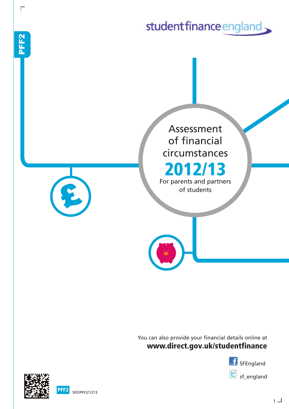studentfinance england Assessment of financial circumstances **2012/13** For parents and partners of students

> **www.direct.gov.uk/studentfinance** You can also provide your financial details online at





 $\mathbf{a}$ F F  $\overline{\bf N}$ 

 $\Gamma$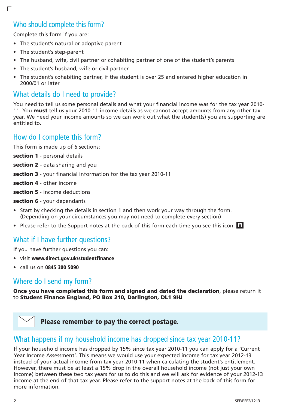# Who should complete this form?

Complete this form if you are:

 $\Gamma$ 

- The student's natural or adoptive parent
- The student's step-parent
- The husband, wife, civil partner or cohabiting partner of one of the student's parents
- The student's husband, wife or civil partner
- The student's cohabiting partner, if the student is over 25 and entered higher education in 2000/01 or later

# What details do I need to provide?

You need to tell us some personal details and what your financial income was for the tax year 2010- 11. You **must** tell us your 2010-11 income details as we cannot accept amounts from any other tax year. We need your income amounts so we can work out what the student(s) you are supporting are entitled to.

# How do I complete this form?

This form is made up of 6 sections:

- **section 1** personal details
- **section 2** data sharing and you
- **section 3** your financial information for the tax year 2010-11
- **section 4** other income
- **section 5** income deductions
- **section 6** your dependants
- Start by checking the details in section 1 and then work your way through the form. (Depending on your circumstances you may not need to complete every section)
- Please refer to the Support notes at the back of this form each time you see this icon. **n**

## What if I have further questions?

If you have further questions you can:

- visit **www.direct.gov.uk/studentfinance**
- call us on **0845 300 5090**

## Where do I send my form?

**Once you have completed this form and signed and dated the declaration**, please return it to **Student Finance England, PO Box 210, Darlington, DL1 9HJ**



**Please remember to pay the correct postage.**

### What happens if my household income has dropped since tax year 2010-11?

If your household income has dropped by 15% since tax year 2010-11 you can apply for a 'Current Year Income Assessment'. This means we would use your expected income for tax year 2012-13 instead of your actual income from tax year 2010-11 when calculating the student's entitlement. However, there must be at least a 15% drop in the overall household income (not just your own income) between these two tax years for us to do this and we will ask for evidence of your 2012-13 income at the end of that tax year. Please refer to the support notes at the back of this form for more information.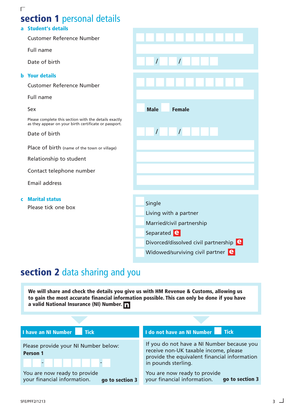# **section 1** personal details

#### **a Student's details**

Customer Reference Number

Full name

Date of birth

#### **b Your details**

Customer Reference Number

Full name

Sex

Please complete this section with the details exactly as they appear on your birth certificate or passport.

Date of birth

Place of birth (name of the town or village)

Relationship to student

Contact telephone number

Email address

**c Marital status**

Please tick one box

| $\overline{I}$<br>$\overline{I}$              |
|-----------------------------------------------|
|                                               |
|                                               |
| <b>Male</b><br><b>Female</b>                  |
| $\prime$<br>$\prime$                          |
|                                               |
|                                               |
|                                               |
| Single                                        |
| Living with a partner                         |
| Married/civil partnership                     |
| Separated <b>e</b>                            |
| Divorced/dissolved civil partnership <b>e</b> |
| Widowed/surviving civil partner e             |

# **section 2** data sharing and you

**We will share and check the details you give us with HM Revenue & Customs, allowing us to gain the most accurate financial information possible. This can only be done if you have <sup>a</sup> valid National Insurance (NI) Number. n**

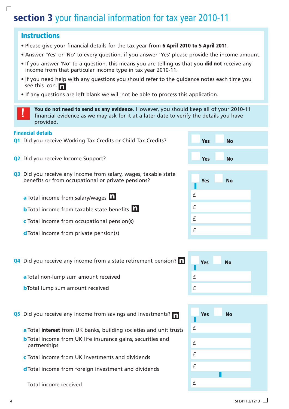# **section 3** your financial information for tax year 2010-11

### **Instructions**

 $\Gamma$ 

- Please give your financial details for the tax year from **6 April 2010 to 5 April 2011**.
- Answer 'Yes' or 'No' to every question, if you answer 'Yes' please provide the income amount.
- If you answer 'No' to a question, this means you are telling us that you **did not** receive any income from that particular income type in tax year 2010-11.
- If you need help with any questions you should refer to the guidance notes each time you see this icon. **n**
- If any questions are left blank we will not be able to process this application.
- **The Sou do not need to send us any evidence**. However, you should keep all of your 2010-11 financial evidence as we may ask for it at a later date to verify the details you have provided.

#### **Financial details**

- **Q1** Did you receive Working Tax Credits or Child Tax Credits?
- **Q2** Did you receive Income Support?
- **Q3** Did you receive any income from salary, wages, taxable state benefits or from occupational or private pensions?
	- **a** Total income from salary/wages **n**
	- **b**Total income from taxable state benefits **n**
	- **c** Total income from occupational pension(s)
	- **d**Total income from private pension(s)
- **Q4** Did you receive any income from a state retirement pension? **n**

**a**Total non-lump sum amount received

**b**Total lump sum amount received

**Q5** Did you receive any income from savings and investments? **n**

- **a** Total **interest** from UK banks, building societies and unit trusts
- **b**Total income from UK life insurance gains, securities and partnerships
- **c** Total income from UK investments and dividends
- **d**Total income from foreign investment and dividends

Total income received

| <b>Yes</b> | <b>No</b> |  |
|------------|-----------|--|
| <b>Yes</b> | <b>No</b> |  |

|   | <b>Yes</b> | <b>No</b> |  |
|---|------------|-----------|--|
| £ |            |           |  |
| £ |            |           |  |
| £ |            |           |  |
| £ |            |           |  |



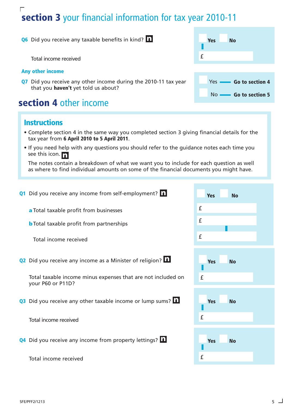### $\Gamma$ **section 3** your financial information for tax year 2010-11

**Q6** Did you receive any taxable benefits in kind? **n**

Total income received

#### **Any other income**

**Q7** Did you receive any other income during the 2010-11 tax year that you **haven't** yet told us about?

# **section 4** other income

### **Instructions**

- Complete section 4 in the same way you completed section 3 giving financial details for the tax year from **6 April 2010 to 5 April 2011**.
- If you need help with any questions you should refer to the guidance notes each time you see this icon. **n**

The notes contain a breakdown of what we want you to include for each question as well as where to find individual amounts on some of the financial documents you might have.

| Q1 Did you receive any income from self-employment? n                             | <b>Yes</b><br><b>No</b> |
|-----------------------------------------------------------------------------------|-------------------------|
| a Total taxable profit from businesses                                            | $\pmb{\mathsf{f}}$      |
| <b>b</b> Total taxable profit from partnerships                                   | £                       |
| Total income received                                                             | £                       |
| Q2 Did you receive any income as a Minister of religion? <b>Q2</b>                | <b>Yes</b><br><b>No</b> |
| Total taxable income minus expenses that are not included on<br>your P60 or P11D? | £                       |
| Q3 Did you receive any other taxable income or lump sums? 1                       | <b>Yes</b><br><b>No</b> |
| Total income received                                                             | £                       |
| Q4 Did you receive any income from property lettings? 1                           | <b>Yes</b><br><b>No</b> |
| Total income received                                                             | £                       |

|   | Yes | No                           |
|---|-----|------------------------------|
|   |     |                              |
| £ |     |                              |
|   |     |                              |
|   |     | Yes <b>- Go to section 4</b> |
|   |     | No <b>- Go to section 5</b>  |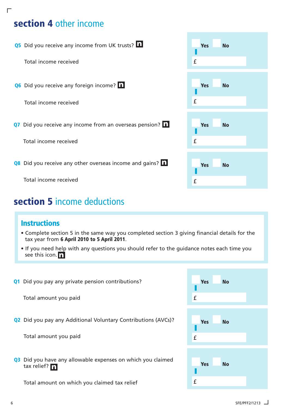# **section 4** other income

 $\Gamma$ 

**Q5** Did you receive any income from UK trusts? **n**

Total income received

**Q6** Did you receive any foreign income? **n**

Total income received

**Q7** Did you receive any income from an overseas pension? **n**

Total income received

**Q8** Did you receive any other overseas income and gains? **n**

Total income received

# **section 5** income deductions

## **Instructions**

- Complete section 5 in the same way you completed section 3 giving financial details for the tax year from **6 April 2010 to 5 April 2011**.
- If you need help with any questions you should refer to the guidance notes each time you see this icon. **n**
- **Q1** Did you pay any private pension contributions?

Total amount you paid

**Q2** Did you pay any Additional Voluntary Contributions (AVCs)?

Total amount you paid

**Q3** Did you have any allowable expenses on which you claimed tax relief? n **n Yes No**

Total amount on which you claimed tax relief

| <b>Yes</b><br>£                                                                                                                                    | <b>No</b> |  |
|----------------------------------------------------------------------------------------------------------------------------------------------------|-----------|--|
| <b>Yes</b><br><b>Contract Contract Contract Contract Contract Contract Contract Contract Contract Contract Contract Contract Co</b><br>$\mathbf f$ | <b>No</b> |  |
| <b>Yes</b><br>£                                                                                                                                    | <b>No</b> |  |
| <b>Yes</b><br>£                                                                                                                                    | <b>No</b> |  |

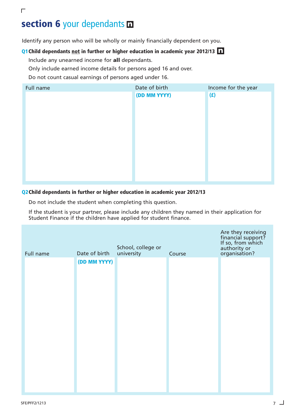# **section 6** your dependants **n**

Identify any person who will be wholly or mainly financially dependent on you.

### **Q1Child dependants not in further or higher education in academic year 2012/13 n**

Include any unearned income for **all** dependants.

Only include earned income details for persons aged 16 and over.

Do not count casual earnings of persons aged under 16.



#### **Q2Child dependants in further or higher education in academic year 2012/13**

Do not include the student when completing this question.

If the student is your partner, please include any children they named in their application for Student Finance if the children have applied for student finance.

| Full name | Date of birth | School, college or<br>university | Course | Are they receiving<br>financial support?<br>If so, from which<br>authority or<br>organisation? |
|-----------|---------------|----------------------------------|--------|------------------------------------------------------------------------------------------------|
|           | (DD MM YYYY)  |                                  |        |                                                                                                |
|           |               |                                  |        |                                                                                                |
|           |               |                                  |        |                                                                                                |
|           |               |                                  |        |                                                                                                |
|           |               |                                  |        |                                                                                                |
|           |               |                                  |        |                                                                                                |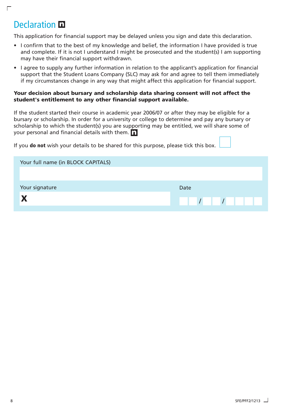# Declaration **n**

 $\Gamma$ 

This application for financial support may be delayed unless you sign and date this declaration.

- I confirm that to the best of my knowledge and belief, the information I have provided is true and complete. If it is not I understand I might be prosecuted and the student(s) I am supporting may have their financial support withdrawn.
- I agree to supply any further information in relation to the applicant's application for financial support that the Student Loans Company (SLC) may ask for and agree to tell them immediately if my circumstances change in any way that might affect this application for financial support.

#### **Your decision about bursary and scholarship data sharing consent will not affect the student's entitlement to any other financial support available.**

If the student started their course in academic year 2006/07 or after they may be eligible for a bursary or scholarship. In order for a university or college to determine and pay any bursary or scholarship to which the student(s) you are supporting may be entitled, we will share some of your personal and financial details with them. **n**

If you **do not** wish your details to be shared for this purpose, please tick this box.

| Your full name (in BLOCK CAPITALS) |      |
|------------------------------------|------|
|                                    |      |
| Your signature                     | Date |
|                                    |      |
|                                    |      |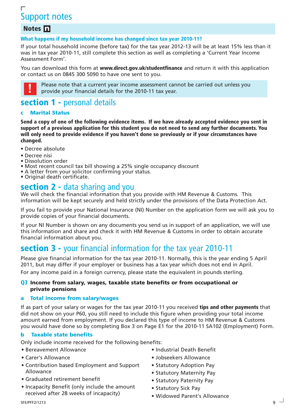# Г Support notes

### **Notes n**

**What happens if my household income has changed since tax year 2010-11?**

If your total household income (before tax) for the tax year 2012-13 will be at least 15% less than it was in tax year 2010-11, still complete this section as well as completing a 'Current Year Income Assessment Form'.

You can download this form at **www.direct.gov.uk/studentfinance** and return it with this application or contact us on 0845 300 5090 to have one sent to you.



Please note that a current year income assessment cannot be carried out unless you provide your financial details for the 2010-11 tax year.

# **section 1 -** personal details

#### **c Marital Status**

Send a copy of one of the following evidence items. If we have already accepted evidence you sent in support of a previous application for this student you do not need to send any further documents. You **will only need to provide evidence if you haven't done so previously or if your circumstances have changed.**

- Decree absolute
- Decree nisi
- Dissolution order
- Most recent council tax bill showing a 25% single occupancy discount
- A letter from your solicitor confirming your status.
- Original death certificate.

### **section 2 -** data sharing and you

We will check the financial information that you provide with HM Revenue & Customs. This information will be kept securely and held strictly under the provisions of the Data Protection Act.

If you fail to provide your National Insurance (NI) Number on the application form we will ask you to provide copies of your financial documents.

If your NI Number is shown on any documents you send us in support of an application, we will use this information and share and check it with HM Revenue & Customs in order to obtain accurate financial information about you.

# **section 3 -** your financial information for the tax year 2010-11

Please give financial information for the tax year 2010-11. Normally, this is the year ending 5 April 2011, but may differ if your employer or business has a tax year which does not end in April. For any income paid in a foreign currency, please state the equivalent in pounds sterling.

#### **Q3 Income from salary, wages, taxable state benefits or from occupational or private pensions**

#### **a Total income from salary/wages**

If as part of your salary or wages for the tax year 2010-11 you received **tips and other payments** that did not show on your P60, you still need to include this figure when providing your total income amount earned from employment. If you declared this type of income to HM Revenue & Customs you would have done so by completing Box 3 on Page E1 for the 2010-11 SA102 (Employment) Form.

#### **b Taxable state benefits**

Only include income received for the following benefits:

- Bereavement Allowance
- Carer's Allowance
- Contribution based Employment and Support Allowance
- Graduated retirement benefit
- Incapacity Benefit (only include the amount received after 28 weeks of incapacity)
- Industrial Death Benefit
- Jobseekers Allowance
- Statutory Adoption Pay
- Statutory Maternity Pay
- Statutory Paternity Pay
- Statutory Sick Pay
- Widowed Parent's Allowance

SFE/PFF2/1213 9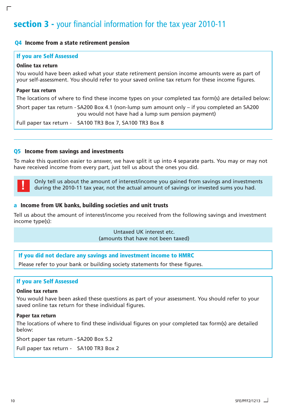# **section 3 -** your financial information for the tax year 2010-11

#### **Q4 Income from a state retirement pension**

#### **If you are Self Assessed**

#### **Online tax return**

 $\Box$ 

You would have been asked what your state retirement pension income amounts were as part of your self-assessment. You should refer to your saved online tax return for these income figures.

#### **Paper tax return**

The locations of where to find these income types on your completed tax form(s) are detailed below:

Short paper tax return - SA200 Box 4.1 (non-lump sum amount only – if you completed an SA200 you would not have had a lump sum pension payment)

Full paper tax return - SA100 TR3 Box 7, SA100 TR3 Box 8

#### **Q5 Income from savings and investments**

To make this question easier to answer, we have split it up into 4 separate parts. You may or may not have received income from every part, just tell us about the ones you did.



Only tell us about the amount of interest/income you gained from savings and investments during the 2010-11 tax year, not the actual amount of savings or invested sums you had.

#### **a Income from UK banks, building societies and unit trusts**

Tell us about the amount of interest/income you received from the following savings and investment income type(s):

> Untaxed UK interest etc. (amounts that have not been taxed)

#### **If you did not declare any savings and investment income to HMRC**

Please refer to your bank or building society statements for these figures.

#### **If you are Self Assessed**

#### **Online tax return**

You would have been asked these questions as part of your assessment. You should refer to your saved online tax return for these individual figures.

#### **Paper tax return**

The locations of where to find these individual figures on your completed tax form(s) are detailed below:

Short paper tax return - SA200 Box 5.2

Full paper tax return - SA100 TR3 Box 2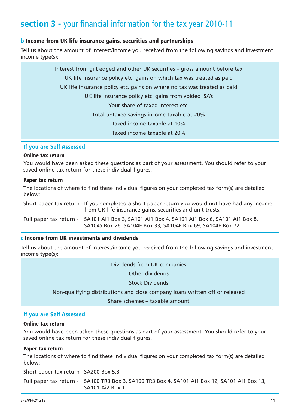# **section 3 -** your financial information for the tax year 2010-11

#### **b Income from UK life insurance gains, securities and partnerships**

Tell us about the amount of interest/income you received from the following savings and investment income type(s):

> Interest from gilt edged and other UK securities – gross amount before tax UK life insurance policy etc. gains on which tax was treated as paid UK life insurance policy etc. gains on where no tax was treated as paid UK life insurance policy etc. gains from voided ISA's Your share of taxed interest etc. Total untaxed savings income taxable at 20% Taxed income taxable at 10% Taxed income taxable at 20%

#### **If you are Self Assessed**

#### **Online tax return**

You would have been asked these questions as part of your assessment. You should refer to your saved online tax return for these individual figures.

#### **Paper tax return**

The locations of where to find these individual figures on your completed tax form(s) are detailed below:

Short paper tax return - If you completed a short paper return you would not have had any income from UK life insurance gains, securities and unit trusts.

Full paper tax return - SA101 Ai1 Box 3, SA101 Ai1 Box 4, SA101 Ai1 Box 6, SA101 Ai1 Box 8, SA104S Box 26, SA104F Box 33, SA104F Box 69, SA104F Box 72

#### **c Income from UK investments and dividends**

Tell us about the amount of interest/income you received from the following savings and investment income type(s):

Dividends from UK companies

Other dividends

Stock Dividends

Non-qualifying distributions and close company loans written off or released

Share schemes – taxable amount

#### **If you are Self Assessed**

#### **Online tax return**

You would have been asked these questions as part of your assessment. You should refer to your saved online tax return for these individual figures.

#### **Paper tax return**

The locations of where to find these individual figures on your completed tax form(s) are detailed below:

Short paper tax return - SA200 Box 5.3

Full paper tax return - SA100 TR3 Box 3, SA100 TR3 Box 4, SA101 Ai1 Box 12, SA101 Ai1 Box 13, SA101 Ai2 Box 1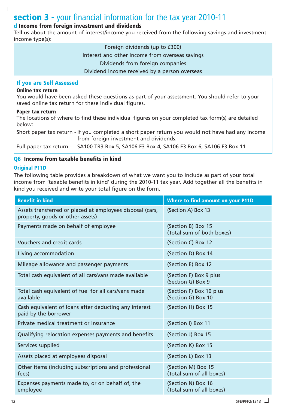# **section 3 -** your financial information for the tax year 2010-11

#### **d Income from foreign investment and dividends**

Tell us about the amount of interest/income you received from the following savings and investment income type(s):

> Foreign dividends (up to £300) Interest and other income from overseas savings Dividends from foreign companies Dividend income received by a person overseas

#### **If you are Self Assessed**

#### **Online tax return**

 $\Gamma$ 

You would have been asked these questions as part of your assessment. You should refer to your saved online tax return for these individual figures.

#### **Paper tax return**

The locations of where to find these individual figures on your completed tax form(s) are detailed below:

Short paper tax return - If you completed a short paper return you would not have had any income from foreign investment and dividends.

Full paper tax return - SA100 TR3 Box 5, SA106 F3 Box 4, SA106 F3 Box 6, SA106 F3 Box 11

#### **Q6 Income from taxable benefits in kind**

#### **Original P11D**

The following table provides a breakdown of what we want you to include as part of your total income from 'taxable benefits in kind' during the 2010-11 tax year. Add together all the benefits in kind you received and write your total figure on the form.

| <b>Benefit in kind</b>                                                                        | <b>Where to find amount on your P11D</b>        |
|-----------------------------------------------------------------------------------------------|-------------------------------------------------|
| Assets transferred or placed at employees disposal (cars,<br>property, goods or other assets) | (Section A) Box 13                              |
| Payments made on behalf of employee                                                           | (Section B) Box 15<br>(Total sum of both boxes) |
| Vouchers and credit cards                                                                     | (Section C) Box 12                              |
| Living accommodation                                                                          | (Section D) Box 14                              |
| Mileage allowance and passenger payments                                                      | (Section E) Box 12                              |
| Total cash equivalent of all cars/vans made available                                         | (Section F) Box 9 plus<br>(Section G) Box 9     |
| Total cash equivalent of fuel for all cars/vans made<br>available                             | (Section F) Box 10 plus<br>(Section G) Box 10   |
| Cash equivalent of loans after deducting any interest<br>paid by the borrower                 | (Section H) Box 15                              |
| Private medical treatment or insurance                                                        | (Section I) Box 11                              |
| Qualifying relocation expenses payments and benefits                                          | (Section J) Box 15                              |
| Services supplied                                                                             | (Section K) Box 15                              |
| Assets placed at employees disposal                                                           | (Section L) Box 13                              |
| Other items (including subscriptions and professional<br>fees)                                | (Section M) Box 15<br>(Total sum of all boxes)  |
| Expenses payments made to, or on behalf of, the<br>employee                                   | (Section N) Box 16<br>(Total sum of all boxes)  |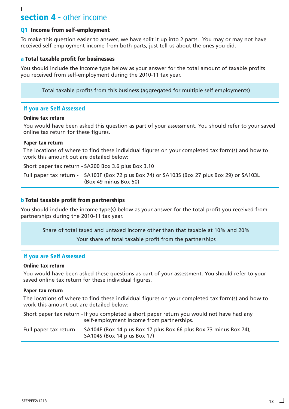### $\Gamma$ **section 4 -** other income

#### **Q1 Income from self-employment**

To make this question easier to answer, we have split it up into 2 parts. You may or may not have received self-employment income from both parts, just tell us about the ones you did.

#### **a Total taxable profit for businesses**

You should include the income type below as your answer for the total amount of taxable profits you received from self-employment during the 2010-11 tax year.

Total taxable profits from this business (aggregated for multiple self employments)

#### **If you are Self Assessed**

#### **Online tax return**

You would have been asked this question as part of your assessment. You should refer to your saved online tax return for these figures.

#### **Paper tax return**

The locations of where to find these individual figures on your completed tax form(s) and how to work this amount out are detailed below:

Short paper tax return - SA200 Box 3.6 plus Box 3.10

Full paper tax return - SA103F (Box 72 plus Box 74) or SA103S (Box 27 plus Box 29) or SA103L (Box 49 minus Box 50)

#### **b Total taxable profit from partnerships**

You should include the income type(s) below as your answer for the total profit you received from partnerships during the 2010-11 tax year.

Share of total taxed and untaxed income other than that taxable at 10% and 20%

Your share of total taxable profit from the partnerships

#### **If you are Self Assessed**

#### **Online tax return**

You would have been asked these questions as part of your assessment. You should refer to your saved online tax return for these individual figures.

#### **Paper tax return**

The locations of where to find these individual figures on your completed tax form(s) and how to work this amount out are detailed below:

| Short paper tax return - If you completed a short paper return you would not have had any<br>self-employment income from partnerships. |                                                                                                                          |  |
|----------------------------------------------------------------------------------------------------------------------------------------|--------------------------------------------------------------------------------------------------------------------------|--|
|                                                                                                                                        | Full paper tax return - SA104F (Box 14 plus Box 17 plus Box 66 plus Box 73 minus Box 74),<br>SA104S (Box 14 plus Box 17) |  |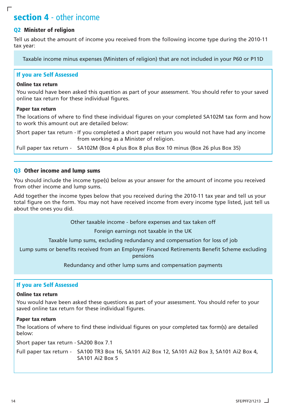# **section 4** - other income

#### **Q2 Minister of religion**

 $\Gamma$ 

Tell us about the amount of income you received from the following income type during the 2010-11 tax year:

Taxable income minus expenses (Ministers of religion) that are not included in your P60 or P11D

#### **If you are Self Assessed**

#### **Online tax return**

You would have been asked this question as part of your assessment. You should refer to your saved online tax return for these individual figures.

#### **Paper tax return**

The locations of where to find these individual figures on your completed SA102M tax form and how to work this amount out are detailed below:

Short paper tax return - If you completed a short paper return you would not have had any income from working as a Minister of religion.

Full paper tax return - SA102M (Box 4 plus Box 8 plus Box 10 minus (Box 26 plus Box 35)

#### **Q3 Other income and lump sums**

You should include the income type(s) below as your answer for the amount of income you received from other income and lump sums.

Add together the income types below that you received during the 2010-11 tax year and tell us your total figure on the form. You may not have received income from every income type listed, just tell us about the ones you did.

Other taxable income - before expenses and tax taken off

Foreign earnings not taxable in the UK

Taxable lump sums, excluding redundancy and compensation for loss of job

Lump sums or benefits received from an Employer Financed Retirements Benefit Scheme excluding pensions

Redundancy and other lump sums and compensation payments

#### **If you are Self Assessed**

#### **Online tax return**

You would have been asked these questions as part of your assessment. You should refer to your saved online tax return for these individual figures.

#### **Paper tax return**

The locations of where to find these individual figures on your completed tax form(s) are detailed below:

Short paper tax return - SA200 Box 7.1

Full paper tax return - SA100 TR3 Box 16, SA101 Ai2 Box 12, SA101 Ai2 Box 3, SA101 Ai2 Box 4, SA101 Ai2 Box 5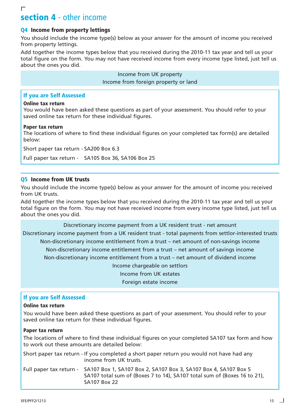### $\Gamma$ **section 4** - other income

#### **Q4 Income from property lettings**

You should include the income type(s) below as your answer for the amount of income you received from property lettings.

Add together the income types below that you received during the 2010-11 tax year and tell us your total figure on the form. You may not have received income from every income type listed, just tell us about the ones you did.

> Income from UK property Income from foreign property or land

#### **If you are Self Assessed**

#### **Online tax return**

You would have been asked these questions as part of your assessment. You should refer to your saved online tax return for these individual figures.

#### **Paper tax return**

The locations of where to find these individual figures on your completed tax form(s) are detailed below:

Short paper tax return - SA200 Box 6.3

Full paper tax return - SA105 Box 36, SA106 Box 25

#### **Q5 Income from UK trusts**

You should include the income type(s) below as your answer for the amount of income you received from UK trusts.

Add together the income types below that you received during the 2010-11 tax year and tell us your total figure on the form. You may not have received income from every income type listed, just tell us about the ones you did.

Discretionary income payment from a UK resident trust - net amount

Discretionary income payment from a UK resident trust - total payments from settlor-interested trusts Non-discretionary income entitlement from a trust – net amount of non-savings income Non-discretionary income entitlement from a trust – net amount of savings income Non-discretionary income entitlement from a trust – net amount of dividend income Income chargeable on settlors Income from UK estates

Foreign estate income

#### **If you are Self Assessed**

#### **Online tax return**

You would have been asked these questions as part of your assessment. You should refer to your saved online tax return for these individual figures.

#### **Paper tax return**

The locations of where to find these individual figures on your completed SA107 tax form and how to work out these amounts are detailed below:

| Short paper tax return - If you completed a short paper return you would not have had any<br>income from UK trusts.                                                                        |
|--------------------------------------------------------------------------------------------------------------------------------------------------------------------------------------------|
| Full paper tax return - SA107 Box 1, SA107 Box 2, SA107 Box 3, SA107 Box 4, SA107 Box 5<br>SA107 total sum of (Boxes 7 to 14), SA107 total sum of (Boxes 16 to 21),<br><b>SA107 Box 22</b> |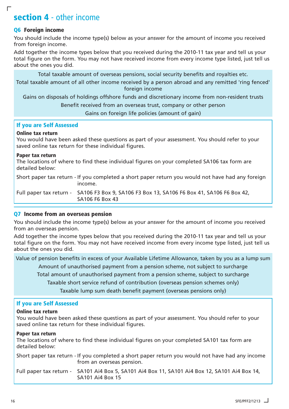# **section 4** - other income

#### **Q6 Foreign income**

 $\Box$ 

You should include the income type(s) below as your answer for the amount of income you received from foreign income.

Add together the income types below that you received during the 2010-11 tax year and tell us your total figure on the form. You may not have received income from every income type listed, just tell us about the ones you did.

Total taxable amount of overseas pensions, social security benefits and royalties etc.

Total taxable amount of all other income received by a person abroad and any remitted 'ring fenced' foreign income

Gains on disposals of holdings offshore funds and discretionary income from non-resident trusts

Benefit received from an overseas trust, company or other person

Gains on foreign life policies (amount of gain)

#### **If you are Self Assessed**

#### **Online tax return**

You would have been asked these questions as part of your assessment. You should refer to your saved online tax return for these individual figures.

#### **Paper tax return**

The locations of where to find these individual figures on your completed SA106 tax form are detailed below:

Short paper tax return - If you completed a short paper return you would not have had any foreign income.

Full paper tax return - SA106 F3 Box 9, SA106 F3 Box 13, SA106 F6 Box 41, SA106 F6 Box 42, SA106 F6 Box 43

#### **Q7 Income from an overseas pension**

You should include the income type(s) below as your answer for the amount of income you received from an overseas pension.

Add together the income types below that you received during the 2010-11 tax year and tell us your total figure on the form. You may not have received income from every income type listed, just tell us about the ones you did.

Value of pension benefits in excess of your Available Lifetime Allowance, taken by you as a lump sum

Amount of unauthorised payment from a pension scheme, not subject to surcharge

Total amount of unauthorised payment from a pension scheme, subject to surcharge

Taxable short service refund of contribution (overseas pension schemes only)

Taxable lump sum death benefit payment (overseas pensions only)

#### **If you are Self Assessed**

#### **Online tax return**

You would have been asked these questions as part of your assessment. You should refer to your saved online tax return for these individual figures.

#### **Paper tax return**

The locations of where to find these individual figures on your completed SA101 tax form are detailed below:

Short paper tax return - If you completed a short paper return you would not have had any income from an overseas pension.

Full paper tax return - SA101 Ai4 Box 5, SA101 Ai4 Box 11, SA101 Ai4 Box 12, SA101 Ai4 Box 14, SA101 Ai4 Box 15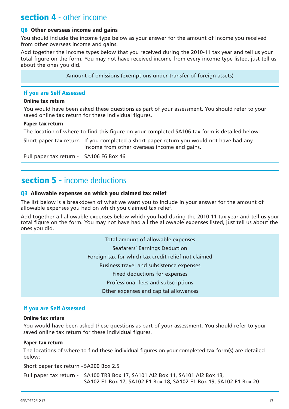# **section 4** - other income

### **Q8 Other overseas income and gains**

You should include the income type below as your answer for the amount of income you received from other overseas income and gains.

Add together the income types below that you received during the 2010-11 tax year and tell us your total figure on the form. You may not have received income from every income type listed, just tell us about the ones you did.

Amount of omissions (exemptions under transfer of foreign assets)

### **If you are Self Assessed**

#### **Online tax return**

You would have been asked these questions as part of your assessment. You should refer to your saved online tax return for these individual figures.

#### **Paper tax return**

The location of where to find this figure on your completed SA106 tax form is detailed below:

Short paper tax return - If you completed a short paper return you would not have had any income from other overseas income and gains.

Full paper tax return - SA106 F6 Box 46

# **section 5 -** income deductions

### **Q3 Allowable expenses on which you claimed tax relief**

The list below is a breakdown of what we want you to include in your answer for the amount of allowable expenses you had on which you claimed tax relief.

Add together all allowable expenses below which you had during the 2010-11 tax year and tell us your total figure on the form. You may not have had all the allowable expenses listed, just tell us about the ones you did.

> Total amount of allowable expenses Seafarers' Earnings Deduction Foreign tax for which tax credit relief not claimed Business travel and subsistence expenses Fixed deductions for expenses Professional fees and subscriptions Other expenses and capital allowances

### **If you are Self Assessed**

#### **Online tax return**

You would have been asked these questions as part of your assessment. You should refer to your saved online tax return for these individual figures.

### **Paper tax return**

The locations of where to find these individual figures on your completed tax form(s) are detailed below:

Short paper tax return - SA200 Box 2.5

Full paper tax return - SA100 TR3 Box 17, SA101 Ai2 Box 11, SA101 Ai2 Box 13, SA102 E1 Box 17, SA102 E1 Box 18, SA102 E1 Box 19, SA102 E1 Box 20